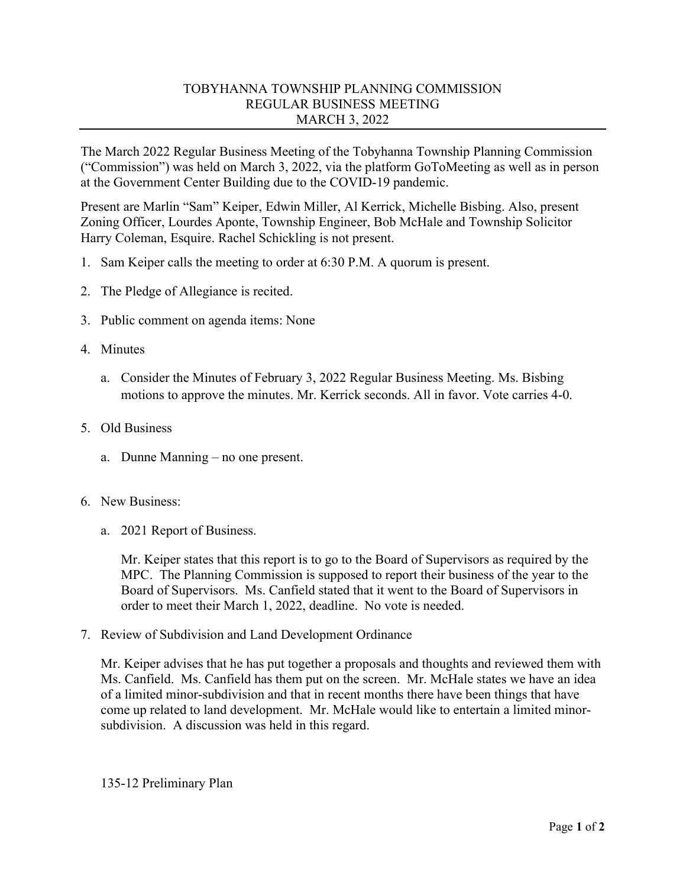## TOBYHANNA TOWNSHIP PLANNING COMMISSION REGULAR BUSINESS MEETING MARCH 3, 2022

The March 2022 Regular Business Meeting of the Tobyhanna Township Planning Commission ("Commission") was held on March 3, 2022, via the platform GoToMeeting as well as in person at the Government Center Building due to the COVID-19 pandemic.

Present are Marlin "Sam" Keiper, Edwin Miller, Al Kerrick, Michelle Bisbing. Also, present Zoning Officer, Lourdes Aponte, Township Engineer, Bob McHale and Township Solicitor Harry Coleman, Esquire. Rachel Schickling is not present.

- 1. Sam Keiper calls the meeting to order at 6:30 P.M. A quorum is present.
- 2. The Pledge of Allegiance is recited.
- 3. Public comment on agenda items: None
- 4. Minutes
	- a. Consider the Minutes of February 3, 2022 Regular Business Meeting. Ms. Bisbing motions to approve the minutes. Mr. Kerrick seconds. All in favor. Vote carries 4-0.
- 5. Old Business
	- a. Dunne Manning no one present.
- 6. New Business:
	- a. 2021 Report of Business.

Mr. Keiper states that this report is to go to the Board of Supervisors as required by the MPC. The Planning Commission is supposed to report their business of the year to the Board of Supervisors. Ms. Canfield stated that it went to the Board of Supervisors in order to meet their March 1, 2022, deadline. No vote is needed.

7. Review of Subdivision and Land Development Ordinance

Mr. Keiper advises that he has put together a proposals and thoughts and reviewed them with Ms. Canfield. Ms. Canfield has them put on the screen. Mr. McHale states we have an idea of a limited minor-subdivision and that in recent months there have been things that have come up related to land development. Mr. McHale would like to entertain a limited minorsubdivision. A discussion was held in this regard.

135-12 Preliminary Plan